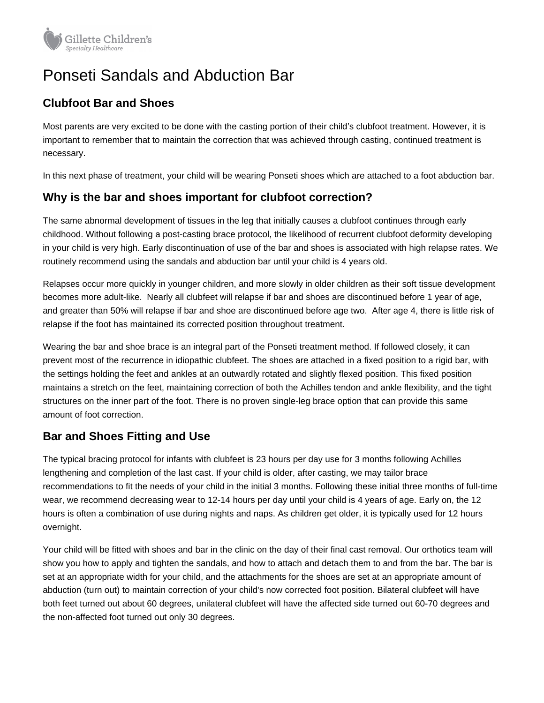

# Ponseti Sandals and Abduction Bar

## **Clubfoot Bar and Shoes**

Most parents are very excited to be done with the casting portion of their child's clubfoot treatment. However, it is important to remember that to maintain the correction that was achieved through casting, continued treatment is necessary.

In this next phase of treatment, your child will be wearing Ponseti shoes which are attached to a foot abduction bar.

#### **Why is the bar and shoes important for clubfoot correction?**

The same abnormal development of tissues in the leg that initially causes a clubfoot continues through early childhood. Without following a post-casting brace protocol, the likelihood of recurrent clubfoot deformity developing in your child is very high. Early discontinuation of use of the bar and shoes is associated with high relapse rates. We routinely recommend using the sandals and abduction bar until your child is 4 years old.

Relapses occur more quickly in younger children, and more slowly in older children as their soft tissue development becomes more adult-like. Nearly all clubfeet will relapse if bar and shoes are discontinued before 1 year of age, and greater than 50% will relapse if bar and shoe are discontinued before age two. After age 4, there is little risk of relapse if the foot has maintained its corrected position throughout treatment.

Wearing the bar and shoe brace is an integral part of the Ponseti treatment method. If followed closely, it can prevent most of the recurrence in idiopathic clubfeet. The shoes are attached in a fixed position to a rigid bar, with the settings holding the feet and ankles at an outwardly rotated and slightly flexed position. This fixed position maintains a stretch on the feet, maintaining correction of both the Achilles tendon and ankle flexibility, and the tight structures on the inner part of the foot. There is no proven single-leg brace option that can provide this same amount of foot correction.

## **Bar and Shoes Fitting and Use**

The typical bracing protocol for infants with clubfeet is 23 hours per day use for 3 months following Achilles lengthening and completion of the last cast. If your child is older, after casting, we may tailor brace recommendations to fit the needs of your child in the initial 3 months. Following these initial three months of full-time wear, we recommend decreasing wear to 12-14 hours per day until your child is 4 years of age. Early on, the 12 hours is often a combination of use during nights and naps. As children get older, it is typically used for 12 hours overnight.

Your child will be fitted with shoes and bar in the clinic on the day of their final cast removal. Our orthotics team will show you how to apply and tighten the sandals, and how to attach and detach them to and from the bar. The bar is set at an appropriate width for your child, and the attachments for the shoes are set at an appropriate amount of abduction (turn out) to maintain correction of your child's now corrected foot position. Bilateral clubfeet will have both feet turned out about 60 degrees, unilateral clubfeet will have the affected side turned out 60-70 degrees and the non-affected foot turned out only 30 degrees.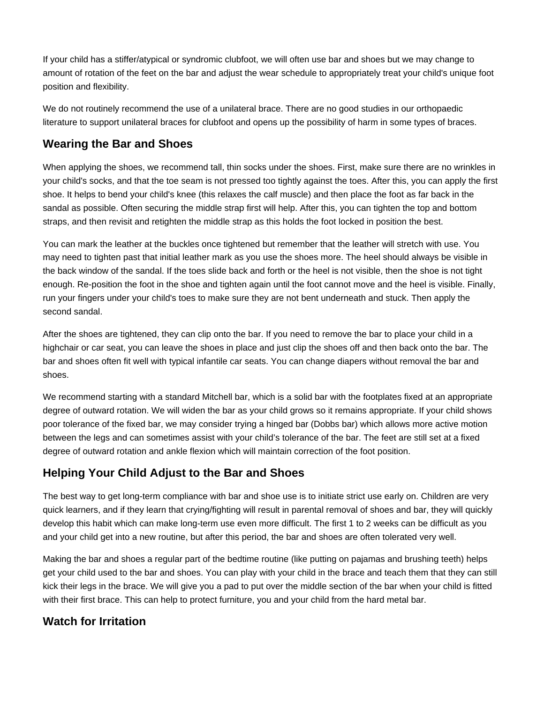If your child has a stiffer/atypical or syndromic clubfoot, we will often use bar and shoes but we may change to amount of rotation of the feet on the bar and adjust the wear schedule to appropriately treat your child's unique foot position and flexibility.

We do not routinely recommend the use of a unilateral brace. There are no good studies in our orthopaedic literature to support unilateral braces for clubfoot and opens up the possibility of harm in some types of braces.

#### **Wearing the Bar and Shoes**

When applying the shoes, we recommend tall, thin socks under the shoes. First, make sure there are no wrinkles in your child's socks, and that the toe seam is not pressed too tightly against the toes. After this, you can apply the first shoe. It helps to bend your child's knee (this relaxes the calf muscle) and then place the foot as far back in the sandal as possible. Often securing the middle strap first will help. After this, you can tighten the top and bottom straps, and then revisit and retighten the middle strap as this holds the foot locked in position the best.

You can mark the leather at the buckles once tightened but remember that the leather will stretch with use. You may need to tighten past that initial leather mark as you use the shoes more. The heel should always be visible in the back window of the sandal. If the toes slide back and forth or the heel is not visible, then the shoe is not tight enough. Re-position the foot in the shoe and tighten again until the foot cannot move and the heel is visible. Finally, run your fingers under your child's toes to make sure they are not bent underneath and stuck. Then apply the second sandal.

After the shoes are tightened, they can clip onto the bar. If you need to remove the bar to place your child in a highchair or car seat, you can leave the shoes in place and just clip the shoes off and then back onto the bar. The bar and shoes often fit well with typical infantile car seats. You can change diapers without removal the bar and shoes.

We recommend starting with a standard Mitchell bar, which is a solid bar with the footplates fixed at an appropriate degree of outward rotation. We will widen the bar as your child grows so it remains appropriate. If your child shows poor tolerance of the fixed bar, we may consider trying a hinged bar (Dobbs bar) which allows more active motion between the legs and can sometimes assist with your child's tolerance of the bar. The feet are still set at a fixed degree of outward rotation and ankle flexion which will maintain correction of the foot position.

## **Helping Your Child Adjust to the Bar and Shoes**

The best way to get long-term compliance with bar and shoe use is to initiate strict use early on. Children are very quick learners, and if they learn that crying/fighting will result in parental removal of shoes and bar, they will quickly develop this habit which can make long-term use even more difficult. The first 1 to 2 weeks can be difficult as you and your child get into a new routine, but after this period, the bar and shoes are often tolerated very well.

Making the bar and shoes a regular part of the bedtime routine (like putting on pajamas and brushing teeth) helps get your child used to the bar and shoes. You can play with your child in the brace and teach them that they can still kick their legs in the brace. We will give you a pad to put over the middle section of the bar when your child is fitted with their first brace. This can help to protect furniture, you and your child from the hard metal bar.

#### **Watch for Irritation**